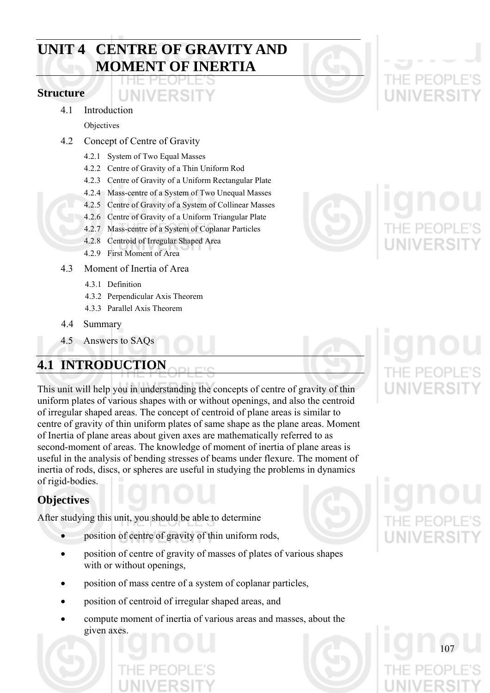# **UNIT 4 CENTRE OF GRAVITY AND MOMENT OF INERTIA**

**INIVERSIT** 

### **Structure**

4.1 Introduction

Objectives

- 4.2 Concept of Centre of Gravity
	- 4.2.1 System of Two Equal Masses
	- 4.2.2 Centre of Gravity of a Thin Uniform Rod
	- 4.2.3 Centre of Gravity of a Uniform Rectangular Plate
	- 4.2.4 Mass-centre of a System of Two Unequal Masses
	- 4.2.5 Centre of Gravity of a System of Collinear Masses
	- 4.2.6 Centre of Gravity of a Uniform Triangular Plate
	- 4.2.7 Mass-centre of a System of Coplanar Particles
	- 4.2.8 Centroid of Irregular Shaped Area
	- 4.2.9 First Moment of Area
- 4.3 Moment of Inertia of Area
	- 4.3.1 Definition
	- 4.3.2 Perpendicular Axis Theorem
	- 4.3.3 Parallel Axis Theorem
- 4.4 Summary
- 4.5 Answers to SAQs

# **4.1 INTRODUCTION**

This unit will help you in understanding the concepts of centre of gravity of thin uniform plates of various shapes with or without openings, and also the centroid of irregular shaped areas. The concept of centroid of plane areas is similar to centre of gravity of thin uniform plates of same shape as the plane areas. Moment of Inertia of plane areas about given axes are mathematically referred to as second-moment of areas. The knowledge of moment of inertia of plane areas is useful in the analysis of bending stresses of beams under flexure. The moment of inertia of rods, discs, or spheres are useful in studying the problems in dynamics of rigid-bodies.

# **Objectives**

After studying this unit, you should be able to determine

- position of centre of gravity of thin uniform rods,
- position of centre of gravity of masses of plates of various shapes with or without openings,
- position of mass centre of a system of coplanar particles,
- position of centroid of irregular shaped areas, and
- compute moment of inertia of various areas and masses, about the given axes.



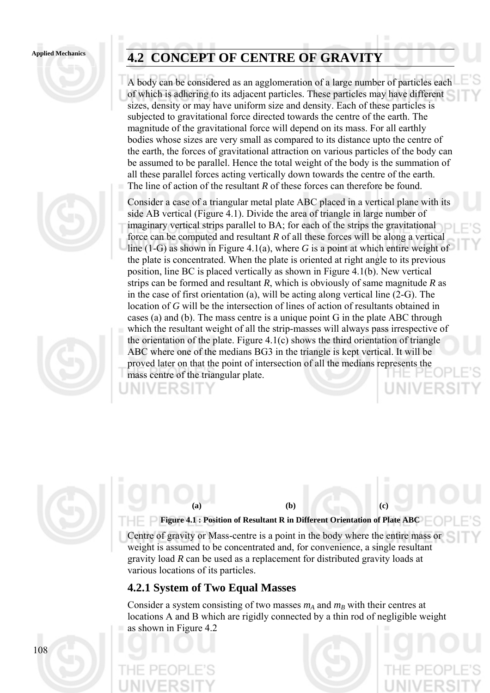



# Applied Mechanics **4.2 CONCEPT OF CENTRE OF GRAVITY**

A body can be considered as an agglomeration of a large number of particles each of which is adhering to its adjacent particles. These particles may have different sizes, density or may have uniform size and density. Each of these particles is subjected to gravitational force directed towards the centre of the earth. The magnitude of the gravitational force will depend on its mass. For all earthly bodies whose sizes are very small as compared to its distance upto the centre of the earth, the forces of gravitational attraction on various particles of the body can be assumed to be parallel. Hence the total weight of the body is the summation of all these parallel forces acting vertically down towards the centre of the earth. The line of action of the resultant *R* of these forces can therefore be found.

Consider a case of a triangular metal plate ABC placed in a vertical plane with its side AB vertical (Figure 4.1). Divide the area of triangle in large number of imaginary vertical strips parallel to BA; for each of the strips the gravitational force can be computed and resultant *R* of all these forces will be along a vertical line (1-G) as shown in Figure 4.1(a), where *G* is a point at which entire weight of the plate is concentrated. When the plate is oriented at right angle to its previous position, line BC is placed vertically as shown in Figure 4.1(b). New vertical strips can be formed and resultant *R*, which is obviously of same magnitude *R* as in the case of first orientation (a), will be acting along vertical line (2-G). The location of *G* will be the intersection of lines of action of resultants obtained in cases (a) and (b). The mass centre is a unique point G in the plate ABC through which the resultant weight of all the strip-masses will always pass irrespective of the orientation of the plate. Figure 4.1(c) shows the third orientation of triangle ABC where one of the medians BG3 in the triangle is kept vertical. It will be proved later on that the point of intersection of all the medians represents the mass centre of the triangular plate.



108

#### **Figure 4.1 : Position of Resultant R in Different Orientation of Plate ABC**

Centre of gravity or Mass-centre is a point in the body where the entire mass or weight is assumed to be concentrated and, for convenience, a single resultant gravity load *R* can be used as a replacement for distributed gravity loads at various locations of its particles.

**(a) (b) (c)** 

## **4.2.1 System of Two Equal Masses**

Consider a system consisting of two masses  $m_A$  and  $m_B$  with their centres at locations A and B which are rigidly connected by a thin rod of negligible weight as shown in Figure 4.2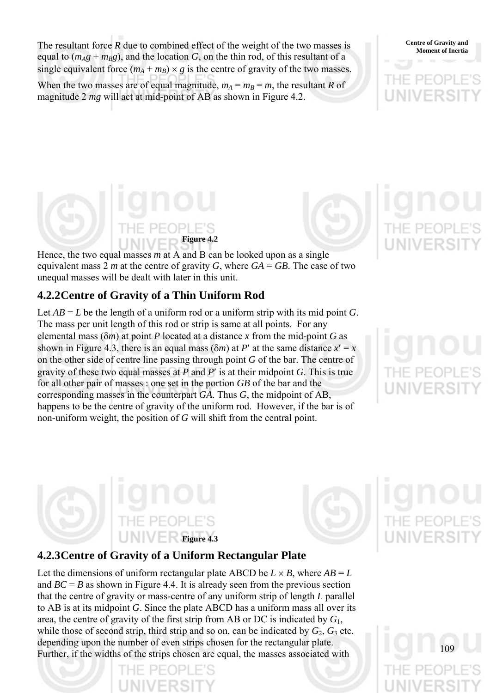The resultant force *R* due to combined effect of the weight of the two masses is **S** Centre of Gravity and Moment of Inertia equal to  $(m_Ag + m_Bg)$ , and the location *G*, on the thin rod, of this resultant of a single equivalent force  $(m_A + m_B) \times g$  is the centre of gravity of the two masses. When the two masses are of equal magnitude,  $m_A = m_B = m$ , the resultant *R* of magnitude 2 *mg* will act at mid-point of AB as shown in Figure 4.2.

**Centre of Gravity and** 

# **Figure 4.2**

Hence, the two equal masses *m* at A and B can be looked upon as a single equivalent mass 2 *m* at the centre of gravity *G*, where  $GA = GB$ . The case of two unequal masses will be dealt with later in this unit.

# **4.2.2 Centre of Gravity of a Thin Uniform Rod**

Let  $AB = L$  be the length of a uniform rod or a uniform strip with its mid point *G*. The mass per unit length of this rod or strip is same at all points. For any elemental mass (δ*m*) at point *P* located at a distance *x* from the mid-point *G* as shown in Figure 4.3, there is an equal mass  $(\delta m)$  at *P'* at the same distance  $x' = x$ on the other side of centre line passing through point *G* of the bar. The centre of gravity of these two equal masses at *P* and *P*′ is at their midpoint *G*. This is true for all other pair of masses : one set in the portion *GB* of the bar and the corresponding masses in the counterpart *GA*. Thus *G*, the midpoint of AB, happens to be the centre of gravity of the uniform rod. However, if the bar is of non-uniform weight, the position of *G* will shift from the central point.





109

# **4.2.3 Centre of Gravity of a Uniform Rectangular Plate**

Let the dimensions of uniform rectangular plate ABCD be  $L \times B$ , where  $AB = L$ and  $BC = B$  as shown in Figure 4.4. It is already seen from the previous section that the centre of gravity or mass-centre of any uniform strip of length *L* parallel to AB is at its midpoint *G*. Since the plate ABCD has a uniform mass all over its area, the centre of gravity of the first strip from AB or DC is indicated by *G*1, while those of second strip, third strip and so on, can be indicated by  $G_2$ ,  $G_3$  etc. depending upon the number of even strips chosen for the rectangular plate. Further, if the widths of the strips chosen are equal, the masses associated with

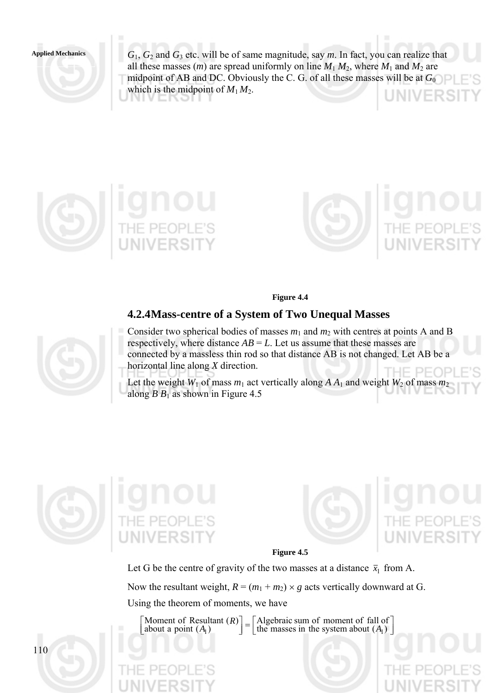

*G*1, *G*2 and *G*3 etc. will be of same magnitude, say *m*. In fact, you can realize that all these masses  $(m)$  are spread uniformly on line  $M_1 M_2$ , where  $M_1$  and  $M_2$  are midpoint of AB and DC. Obviously the C. G. of all these masses will be at *G*<sup>0</sup> which is the midpoint of  $M_1 M_2$ .





**Figure 4.4** 

## **4.2.4 Mass-centre of a System of Two Unequal Masses**

- Consider two spherical bodies of masses  $m_1$  and  $m_2$  with centres at points A and B
- respectively, where distance  $AB = L$ . Let us assume that these masses are
- connected by a massless thin rod so that distance AB is not changed. Let AB be a horizontal line along *X* direction.
- Let the weight  $W_1$  of mass  $m_1$  act vertically along  $A A_1$  and weight  $W_2$  of mass  $m_2$ along  $B B<sub>1</sub>$  as shown in Figure 4.5







**Figure 4.5** 

Let G be the centre of gravity of the two masses at a distance  $\bar{x}_1$  from A.

Now the resultant weight,  $R = (m_1 + m_2) \times g$  acts vertically downward at G.

Using the theorem of moments, we have

 $\left[ \frac{\text{Algebraic sum of moment of fall of}}{\text{the masses in the system about } (A_1)} \right]$ Moment of Resultant  $(R)$ <br>about a point  $(A_1)$ Algebraic sum of moment of fall of about a point  $(A_1)$  $A_1$   $\left( A_1 \right)$   $\left( A_2 \right)$   $\left( A_1 \right)$   $\left( A_2 \right)$   $\left( A_2 \right)$   $\left( A_1 \right)$ 

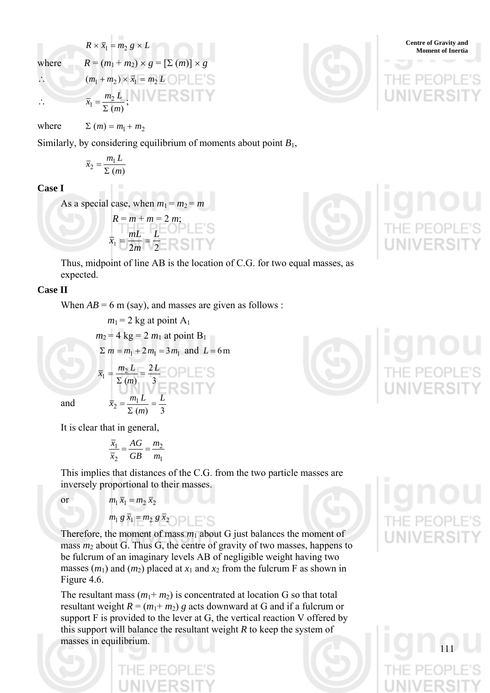$$
R \times \overline{x}_1 = m_2 g \times L
$$
  
where  

$$
R = (m_1 + m_2) \times g = [\Sigma (m)] \times g
$$
  
Comment of Inertia  

$$
(m_1 + m_2) \times \overline{x}_1 = m_2 L
$$
 
$$
PLE'S
$$
  
Then, 
$$
S = \sum_{i=1}^{n} (m_i + m_2) \times g
$$

 $\overline{x}_1 = \frac{m_2 L}{\Sigma (m)}$  $\bar{x}_1 = \frac{m_2 L}{\Sigma (m)}$ ;

where  $\Sigma(m) = m_1 + m_2$ 

Similarly, by considering equilibrium of moments about point  $B_1$ ,

$$
\overline{x}_2 = \frac{m_1 L}{\Sigma (m)}
$$

**Case I** 

As a special case, when  $m_1 = m_2 = m$ 

$$
R = m + m = 2 m;
$$
  
\n
$$
\overline{x}_1 = \frac{mL}{2m} = \frac{L}{2}
$$

Thus, midpoint of line AB is the location of C.G. for two equal masses, as expected.

## **Case II**

When  $AB = 6$  m (say), and masses are given as follows :

$$
m_1 = 2 \text{ kg at point A}_1
$$
  
\n
$$
m_2 = 4 \text{ kg} = 2 m_1 \text{ at point B}_1
$$
  
\n
$$
\Sigma m = m_1 + 2 m_1 = 3 m_1 \text{ and } L = 6 \text{ m}
$$
  
\n
$$
\overline{x}_1 = \frac{m_2 L}{\Sigma (m)} = \frac{2L}{3}
$$
  
\n
$$
\overline{x}_2 = \frac{m_1 L}{\Sigma (m)} = \frac{L}{3}
$$

and

It is clear that in general,

$$
\frac{\overline{x}_1}{\overline{x}_2} = \frac{AG}{GB} = \frac{m_2}{m_1}
$$

This implies that distances of the C.G. from the two particle masses are inversely proportional to their masses.

$$
\quad \text{or} \quad
$$

$$
m_1\,\overline{x}_1 = m_2\,\overline{x}_2
$$

$$
m_1 g \overline{x}_1 = m_2 g \overline{x}_2
$$

Therefore, the moment of mass  $m_1$  about G just balances the moment of mass  $m_2$  about G. Thus G, the centre of gravity of two masses, happens to be fulcrum of an imaginary levels AB of negligible weight having two masses  $(m_1)$  and  $(m_2)$  placed at  $x_1$  and  $x_2$  from the fulcrum F as shown in Figure 4.6.

The resultant mass  $(m_1 + m_2)$  is concentrated at location G so that total resultant weight  $R = (m_1 + m_2)$  g acts downward at G and if a fulcrum or support F is provided to the lever at G, the vertical reaction V offered by this support will balance the resultant weight *R* to keep the system of masses in equilibrium.



**Centre of Gravity and** 



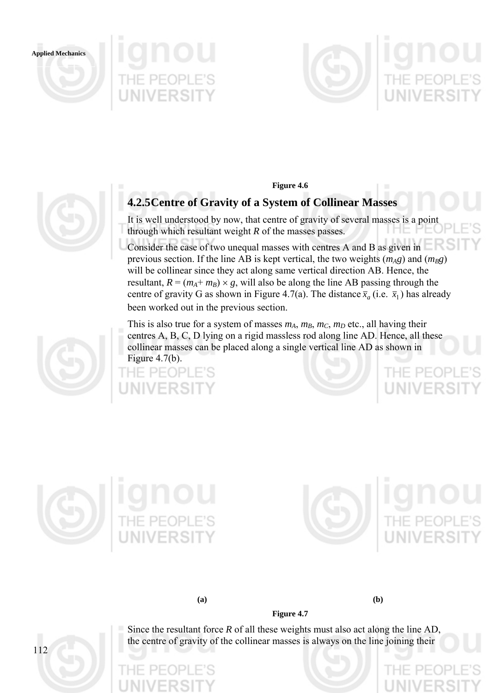





# **4.2.5 Centre of Gravity of a System of Collinear Masses**

It is well understood by now, that centre of gravity of several masses is a point through which resultant weight *R* of the masses passes.

Consider the case of two unequal masses with centres A and B as given in previous section. If the line AB is kept vertical, the two weights  $(m_A g)$  and  $(m_B g)$ will be collinear since they act along same vertical direction AB. Hence, the resultant,  $R = (m_A + m_B) \times g$ , will also be along the line AB passing through the centre of gravity G as shown in Figure 4.7(a). The distance  $\bar{x}_a$  (i.e.  $\bar{x}_1$ ) has already been worked out in the previous section.

This is also true for a system of masses  $m_A$ ,  $m_B$ ,  $m_C$ ,  $m_D$  etc., all having their centres A, B, C, D lying on a rigid massless rod along line AD. Hence, all these collinear masses can be placed along a single vertical line AD as shown in Figure 4.7(b).







112





**(a) (b)** 



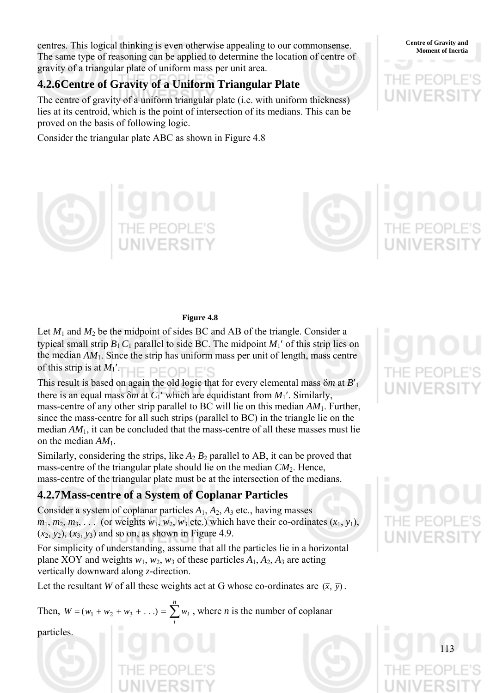**Moment of Inertial centres.** This logical thinking is even otherwise appealing to our commonsense. **Centre of Gravity and** Moment of Inertia The same type of reasoning can be applied to determine the location of centre of gravity of a triangular plate of uniform mass per unit area.

# **4.2.6 Centre of Gravity of a Uniform Triangular Plate**

The centre of gravity of a uniform triangular plate (i.e. with uniform thickness) lies at its centroid, which is the point of intersection of its medians. This can be proved on the basis of following logic.

Consider the triangular plate ABC as shown in Figure 4.8

#### **Figure 4.8**

Let  $M_1$  and  $M_2$  be the midpoint of sides BC and AB of the triangle. Consider a typical small strip  $B_1 C_1$  parallel to side BC. The midpoint  $M_1'$  of this strip lies on the median  $AM<sub>1</sub>$ . Since the strip has uniform mass per unit of length, mass centre of this strip is at  $M_1'$ . UE DE*l* 

This result is based on again the old logic that for every elemental mass δ*m* at *B*′<sup>1</sup> there is an equal mass  $\delta m$  at  $C_1'$  which are equidistant from  $M_1'$ . Similarly, mass-centre of any other strip parallel to BC will lie on this median *AM*1. Further, since the mass-centre for all such strips (parallel to BC) in the triangle lie on the median *AM*1, it can be concluded that the mass-centre of all these masses must lie on the median *AM*1.

Similarly, considering the strips, like  $A_2 B_2$  parallel to AB, it can be proved that mass-centre of the triangular plate should lie on the median *CM*2. Hence, mass-centre of the triangular plate must be at the intersection of the medians.

# **4.2.7 Mass-centre of a System of Coplanar Particles**

Consider a system of coplanar particles *A*1, *A*2, *A*3 etc., having masses  $m_1, m_2, m_3, \ldots$  (or weights  $w_1, w_2, w_3$  etc.) which have their co-ordinates  $(x_1, y_1)$ ,  $(x_2, y_2)$ ,  $(x_3, y_3)$  and so on, as shown in Figure 4.9.

For simplicity of understanding, assume that all the particles lie in a horizontal plane XOY and weights  $w_1$ ,  $w_2$ ,  $w_3$  of these particles  $A_1$ ,  $A_2$ ,  $A_3$  are acting vertically downward along *z-*direction.

Let the resultant *W* of all these weights act at G whose co-ordinates are  $(\bar{x}, \bar{y})$ .

Then,  $W = (w_1 + w_2 + w_3 + ...) = \sum_{i=1}^{n} w_i$ , where *n* is the number of coplanar *i*  $W = (w_1 + w_2 + w_3 + ...) = \sum w_i$ 

particles.









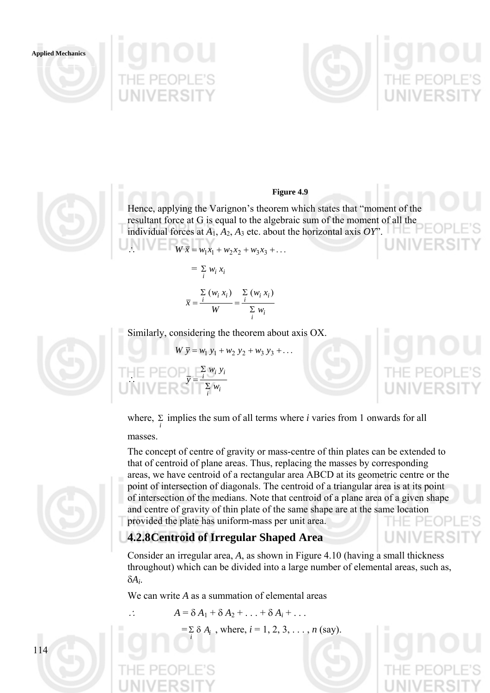





#### **Figure 4.9**

Hence, applying the Varignon's theorem which states that "moment of the resultant force at G is equal to the algebraic sum of the moment of all the individual forces at  $A_1$ ,  $A_2$ ,  $A_3$  etc. about the horizontal axis *OY*".  $W \bar{x} = w_1 x_1 + w_2 x_2 + w_3 x_3 + \dots$ 

$$
= \sum_{i} w_i x_i
$$

$$
\overline{x} = \frac{\sum_{i} (w_i x_i)}{W} = \frac{\sum_{i} (w_i x_i)}{\sum_{i} w_i}
$$

Similarly, considering the theorem about axis OX.

$$
W \overline{y} = w_1 y_1 + w_2 y_2 + w_3 y_3 + \dots
$$
  

where,  $\Sigma$  implies the sum of all terms where *i* varies from 1 onwards for all masses. *i*

The concept of centre of gravity or mass-centre of thin plates can be extended to that of centroid of plane areas. Thus, replacing the masses by corresponding areas, we have centroid of a rectangular area ABCD at its geometric centre or the point of intersection of diagonals. The centroid of a triangular area is at its point of intersection of the medians. Note that centroid of a plane area of a given shape and centre of gravity of thin plate of the same shape are at the same location provided the plate has uniform-mass per unit area.

# **4.2.8 Centroid of Irregular Shaped Area**

Consider an irregular area, *A*, as shown in Figure 4.10 (having a small thickness throughout) which can be divided into a large number of elemental areas, such as, δ*Ai*.

We can write *A* as a summation of elemental areas

$$
\therefore \qquad A = \delta A_1 + \delta A_2 + \ldots + \delta A_i + \ldots
$$

 $= \sum_{i} \delta A_i$ , where,  $i = 1, 2, 3, ..., n$  (say).



114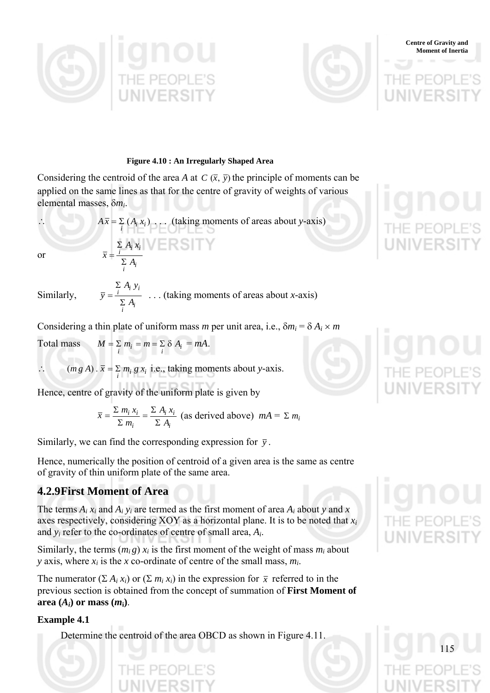



#### **Figure 4.10 : An Irregularly Shaped Area**

Considering the centroid of the area *A* at *C*  $(\bar{x}, \bar{y})$  the principle of moments can be applied on the same lines as that for the centre of gravity of weights of various elemental masses, δ*mi*.

$$
A\overline{x} = \sum_{i} (A_i x_i) \dots \text{ (taking moments of areas about y-axis)}
$$
\nor

\n
$$
\overline{x} = \frac{\sum_{i} A_i x_i}{\sum_{i} A_i}
$$

Similarly,

$$
\overline{y} = \frac{\sum_i A_i y_i}{\sum_i A_i}
$$
 ... (taking moments of areas about *x*-axis)

Considering a thin plate of uniform mass *m* per unit area, i.e.,  $\delta m_i = \delta A_i \times m_i$ 

Total mass  $M = \sum_{i} m_i = m = \sum_{i} \delta A_i = mA$ .

 $\therefore$  *(mg A)*.  $\bar{x} = \sum_i m_i g x_i$  i.e., taking moments about *y*-axis.

Hence, centre of gravity of the uniform plate is given by

$$
\bar{x} = \frac{\sum m_i x_i}{\sum m_i} = \frac{\sum A_i x_i}{\sum A_i}
$$
 (as derived above)  $mA = \sum m_i$ 

Similarly, we can find the corresponding expression for  $\bar{y}$ .

Hence, numerically the position of centroid of a given area is the same as centre of gravity of thin uniform plate of the same area.

## **4.2.9 First Moment of Area**

The terms  $A_i x_i$  and  $A_i y_i$  are termed as the first moment of area  $A_i$  about  $y$  and  $x$ axes respectively, considering XOY as a horizontal plane. It is to be noted that *xi* and *yi* refer to the co-ordinates of centre of small area, *Ai*.

Similarly, the terms  $(m_i g) x_i$  is the first moment of the weight of mass  $m_i$  about *y* axis, where *xi* is the *x* co-ordinate of centre of the small mass, *mi*.

The numerator  $(\Sigma A_i x_i)$  or  $(\Sigma m_i x_i)$  in the expression for  $\overline{x}$  referred to in the previous section is obtained from the concept of summation of **First Moment of**  area  $(A_i)$  or mass  $(m_i)$ .

#### **Example 4.1**

Determine the centroid of the area OBCD as shown in Figure 4.11.



**Centre of Gravity and Moment of Inertia**

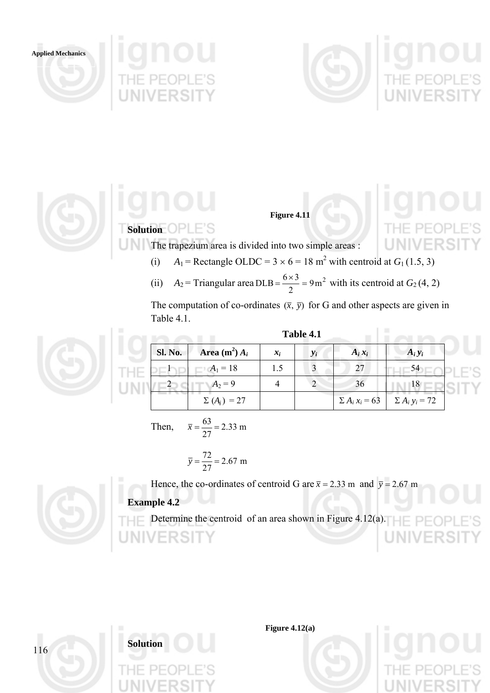



**Figure 4.11** 

**Solution OPLE'S** 

The trapezium area is divided into two simple areas :

- (i)  $A_1$  = Rectangle OLDC = 3 × 6 = 18 m<sup>2</sup> with centroid at  $G_1$  (1.5, 3)
	- (ii)  $A_2$  = Triangular area DLB =  $\frac{6 \times 3}{2}$  = 9m<sup>2</sup> with its centroid at *G*<sub>2</sub>(4, 2)

The computation of co-ordinates  $(\bar{x}, \bar{y})$  for G and other aspects are given in Table 4.1.

**Table 4.1** 



| <b>Sl. No.</b> | Area $(m^2) A_i$  | $x_i$ | $y_i$ | $A_i x_i$ | $A_i y_i$                               |
|----------------|-------------------|-------|-------|-----------|-----------------------------------------|
|                | $A_1 = 18$        |       |       | 27        |                                         |
|                | $A_2 = 9$         |       |       | 36        | 18                                      |
|                | $\sum (A_i) = 27$ |       |       |           | $\sum A_i x_i = 63$ $\sum A_i y_i = 72$ |

Then,  $\bar{x} = \frac{0.3}{25} = 2.33$  m 27  $\bar{x} = \frac{63}{12}$ 

$$
\overline{y} = \frac{72}{27} = 2.67
$$
 m

Hence, the co-ordinates of centroid G are  $\bar{x} = 2.33$  m and  $\bar{y} = 2.67$  m

# **Example 4.2**

Determine the centroid of an area shown in Figure 4.12(a). **ERSIT** 



**Solution** 

**Figure 4.12(a)** 

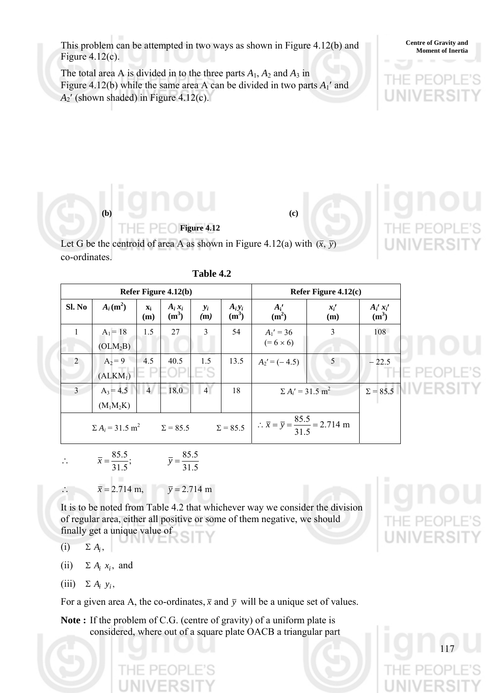This problem can be attempted in two ways as shown in Figure 4.12(b) and Figure  $4.12(c)$ .

The total area A is divided in to the three parts  $A_1$ ,  $A_2$  and  $A_3$  in Figure 4.12(b) while the same area A can be divided in two parts  $A_1'$  and  $A_2'$  (shown shaded) in Figure 4.12(c).

# **(b) (c) Figure 4.12**

Let G be the centroid of area A as shown in Figure 4.12(a) with  $(\bar{x}, \bar{y})$ co-ordinates.

|        | Refer Figure 4.12(b)               |                       |                      |                |                      |                                                                      | Refer Figure $4.12(c)$              |                          |  |
|--------|------------------------------------|-----------------------|----------------------|----------------|----------------------|----------------------------------------------------------------------|-------------------------------------|--------------------------|--|
| Sl. No | $A_i(m^2)$                         | $\mathbf{x}_i$<br>(m) | $A_i x_i$<br>$(m^3)$ | $y_i$<br>(m)   | $A_i y_i$<br>$(m^3)$ | $A_i'$<br>(m <sup>2</sup> )                                          | $x_i$<br>(m)                        | $A_i'$ $x_i'$<br>$(m^3)$ |  |
|        | $A_1 = 18$                         | 1.5                   | 27                   | 3              | 54                   | $A_1' = 36$                                                          | 3                                   | 108                      |  |
|        | (OLM <sub>2</sub> B)               |                       |                      |                |                      | $(=6\times 6)$                                                       |                                     |                          |  |
| 2      | $A_2 = 9$                          | 4.5                   | 40.5                 | 1.5            | 13.5                 | $A_2' = (-4.5)$                                                      | $\overline{5}$                      | $-22.5$                  |  |
|        | $(ALKM_1)$                         |                       |                      |                |                      |                                                                      |                                     |                          |  |
| 3      | $A_3 = 4.5$                        | $\vert$ 4             | 18.0                 | $\overline{4}$ | 18                   |                                                                      | $\Sigma A_i' = 31.5$ m <sup>2</sup> |                          |  |
|        | $(M_1M_2K)$                        |                       |                      |                |                      |                                                                      |                                     |                          |  |
|        | $\Sigma A_i = 31.5$ m <sup>2</sup> |                       | $\Sigma = 85.5$      |                | $\Sigma = 85.5$      | $\therefore \bar{x} = \bar{y} = \frac{85.5}{31.5} = 2.714 \text{ m}$ |                                     |                          |  |

$$
\therefore \qquad \bar{x} = \frac{85.5}{31.5}; \qquad \bar{y} = \frac{85.5}{31.5}
$$

 $\bar{x} = 2.714 \text{ m}, \qquad \bar{y} = 2.714 \text{ m}$ 

It is to be noted from Table 4.2 that whichever way we consider the division of regular area, either all positive or some of them negative, we should finally get a unique value of

- (i)  $\Sigma A_i$ ,
- (ii)  $\Sigma A_i x_i$ , and
- $(iii)$   $\Sigma A_i y_i$

For a given area A, the co-ordinates,  $\bar{x}$  and  $\bar{y}$  will be a unique set of values.

**Note :** If the problem of C.G. (centre of gravity) of a uniform plate is considered, where out of a square plate OACB a triangular part

**Centre of Gravity and**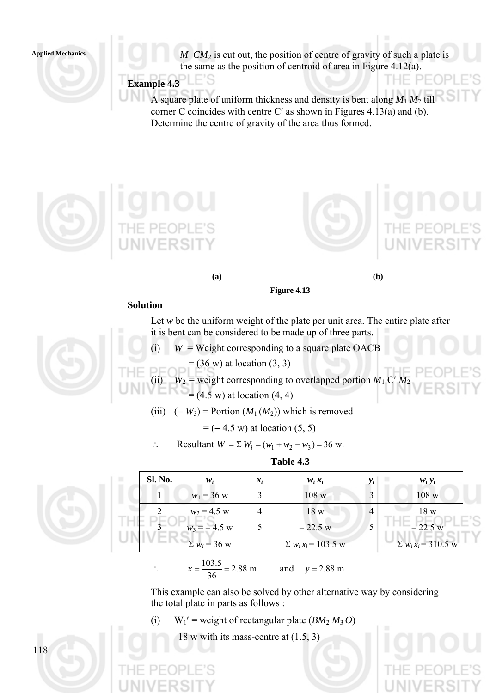$M_1$  *CM*<sub>2</sub> is cut out, the position of centre of gravity of such a plate is the same as the position of centroid of area in Figure 4.12(a).

E'S **Example 4.3** 

> A square plate of uniform thickness and density is bent along  $M_1 M_2$  till corner C coincides with centre C′ as shown in Figures 4.13(a) and (b). Determine the centre of gravity of the area thus formed.







THE P

**(a) (b)** 

**Figure 4.13** 

#### **Solution**

Let *w* be the uniform weight of the plate per unit area. The entire plate after it is bent can be considered to be made up of three parts.

- (i)  $W_1$  = Weight corresponding to a square plate OACB
	- $=$  (36 w) at location (3, 3)

(ii)  $W_2$  = weight corresponding to overlapped portion  $M_1$  C'  $M_2$  $= (4.5 \text{ w})$  at location  $(4, 4)$ 

(iii)  $(-W_3)$  = Portion  $(M_1(M_2))$  which is removed

 $= (-4.5 \text{ w})$  at location  $(5, 5)$ 

∴ Resultant  $W = \sum W_i = (w_1 + w_2 - w_3) = 36$  w.





118

| $w_i$               | $x_i$ | $W_i X_i$                  | $y_i$ | $W_i Y_i$                  |
|---------------------|-------|----------------------------|-------|----------------------------|
| $w_1 = 36$ w        |       | 108 w                      |       | 108 w                      |
| $w_2 = 4.5$ w       |       | 18 <sub>W</sub>            | 4     | 18 w                       |
| $w_3 = -4.5$ w      |       | $-22.5 w$                  |       | $-22.5 w$                  |
| $\Sigma w_i = 36$ w |       | $\Sigma w_i x_i = 103.5$ w |       | $\Sigma w_i x_i = 310.5$ w |

 $\therefore$   $\overline{x} = \frac{103.3}{36} = 2.88 \text{ m}$ 36  $\bar{x} = \frac{103.5}{25.6} = 2.88 \text{ m}$  and  $\bar{y} = 2.88 \text{ m}$ 

This example can also be solved by other alternative way by considering the total plate in parts as follows :

(i)  $W_1'$  = weight of rectangular plate ( $BM_2 M_3 O$ )

18 w with its mass-centre at (1.5, 3)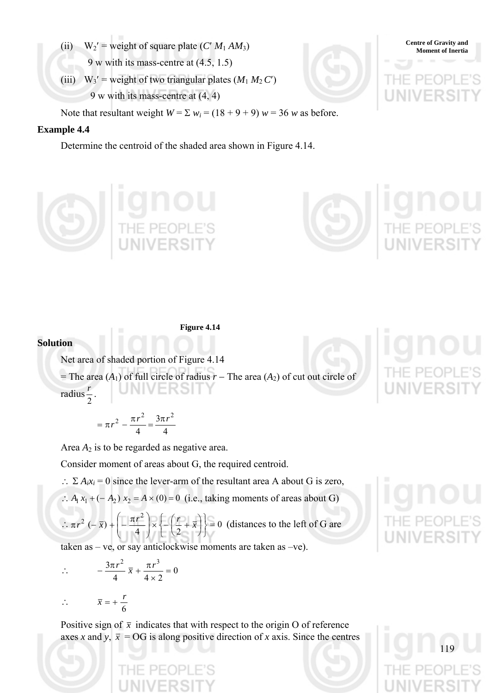- (ii)  $W_2' =$  weight of square plate  $(C' M_1 A M_3)$  Centre of Gravity and Moment of Inertia 9 w with its mass-centre at (4.5, 1.5)
- (iii)  $W_3'$  = weight of two triangular plates  $(M_1 M_2 C')$ 9 w with its mass-centre at (4, 4)

Note that resultant weight  $W = \sum w_i = (18 + 9 + 9) w = 36 w$  as before.

#### **Example 4.4**

Determine the centroid of the shaded area shown in Figure 4.14.







**Figure 4.14** 

#### **Solution**

Net area of shaded portion of Figure 4.14

= The area  $(A_1)$  of full circle of radius  $r$  – The area  $(A_2)$  of cut out circle of radius 2  $\frac{r}{2}$ .

$$
= \pi r^2 - \frac{\pi r^2}{4} = \frac{3\pi r^2}{4}
$$

Area  $A_2$  is to be regarded as negative area.

Consider moment of areas about G, the required centroid.

∴  $\Sigma A_i x_i = 0$  since the lever-arm of the resultant area A about G is zero,

 $\therefore$  *A*<sub>1</sub> *x*<sub>1</sub> + (− *A*<sub>2</sub>) *x*<sub>2</sub> = *A* × (0) = 0 (i.e., taking moments of areas about G)

 $\therefore \pi r^2$  (- $\bar{x}$ ) +  $\left[-\frac{\pi r}{4}\right] \times \left\{-\left(\frac{r}{2} + \bar{x}\right)\right\} = 0$  $2\left(-\bar{x}\right)+\left(-\frac{\pi r^2}{r}\right)\times\left(-\left(\frac{r}{r}+\bar{x}\right)\right)=$ ⎭  $\left\{ \right\}$ ⎫  $\lfloor$  $\left(-\left(\frac{r}{2} + \overline{x}\right)\right)$ ⎠  $\left(\frac{r}{2} + \overline{x}\right)$  $\begin{cases} x \\ -\left(\frac{r}{2} + \frac{r}{2}\right) \end{cases}$ ⎠ ⎞  $\overline{\phantom{a}}$ ⎝  $\pi r^2$  (- $\bar{x}$ ) +  $\left(-\frac{\pi r^2}{r^2}\right) \times \left(-\left(\frac{r}{2}+\bar{x}\right)\right) = 0$  (distances to the left of G are

taken as – ve, or say anticlockwise moments are taken as –ve).

 $\therefore -\frac{3\pi r}{4} \overline{x} + \frac{\pi r}{4} = 0$  $4 \times 2$  $3\pi r^2$  -  $\pi r^3$  $-\frac{3\pi r^2}{4} \bar{x} + \frac{\pi r^3}{4 \times 2} =$ 

$$
\therefore \qquad \overline{x} = +\frac{r}{6}
$$

Positive sign of  $\bar{x}$  indicates that with respect to the origin O of reference axes *x* and *y*,  $\bar{x}$  = OG is along positive direction of *x* axis. Since the centres



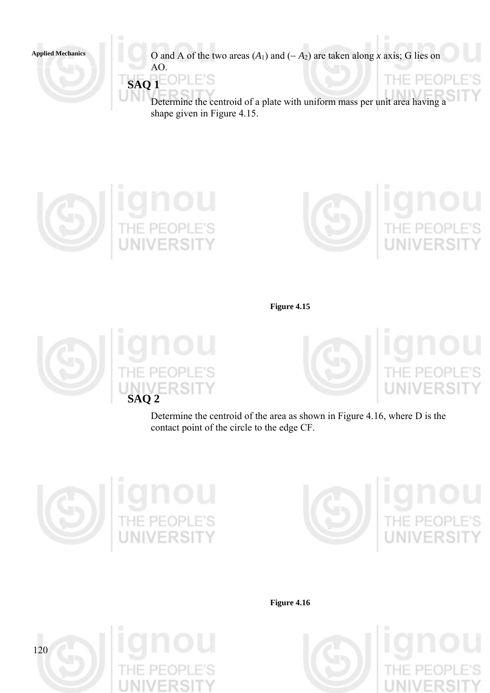Applied Mechanics **O** and A of the two areas  $(A_1)$  and  $(-A_2)$  are taken along *x* axis; G lies on AO.

> **SAQ 1**  ΟP

> > Determine the centroid of a plate with uniform mass per unit area having a shape given in Figure 4.15.





**Figure 4.15** 





Determine the centroid of the area as shown in Figure 4.16, where D is the contact point of the circle to the edge CF.





**Figure 4.16** 



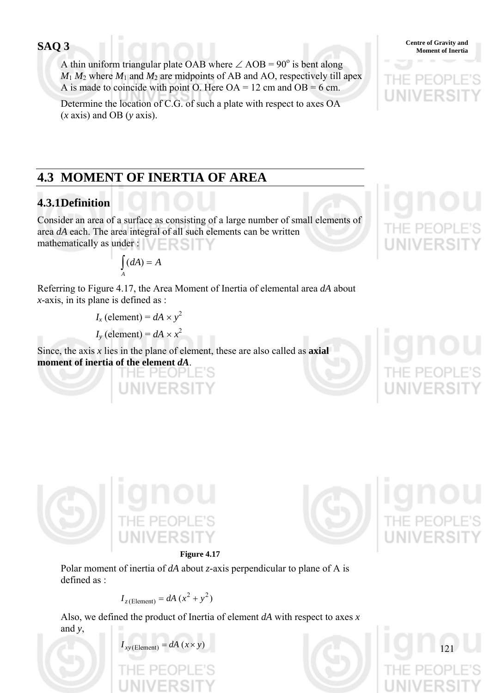A thin uniform triangular plate OAB where  $\angle$  AOB = 90<sup>°</sup> is bent along  $M_1 M_2$  where  $M_1$  and  $M_2$  are midpoints of AB and AO, respectively till apex A is made to coincide with point O. Here  $OA = 12$  cm and  $OB = 6$  cm.

Determine the location of C.G. of such a plate with respect to axes OA (*x* axis) and OB (*y* axis).



# **4.3 MOMENT OF INERTIA OF AREA**

# **4.3.1 Definition**

Consider an area of a surface as consisting of a large number of small elements of area *dA* each. The area integral of all such elements can be written mathematically as under :

$$
\int_A (dA) = A
$$

Referring to Figure 4.17, the Area Moment of Inertia of elemental area *dA* about *x*-axis, in its plane is defined as :

 $I_x$  (element) =  $dA \times y^2$ 

*I<sub>y</sub>* (element) =  $dA \times x^2$ 

Since, the axis *x* lies in the plane of element, these are also called as **axial moment of inertia of the element** *dA*.





121





Polar moment of inertia of *dA* about *z*-axis perpendicular to plane of A is defined as  $\cdot$ 

$$
I_{z(\text{Element})} = dA (x^2 + y^2)
$$

Also, we defined the product of Inertia of element *dA* with respect to axes *x* and *y*,

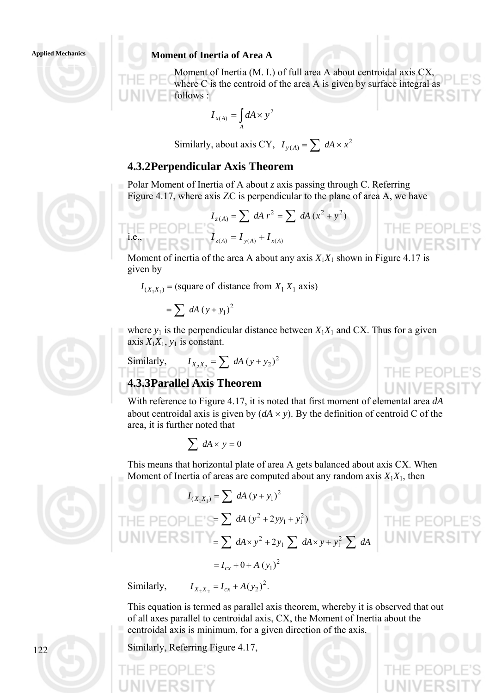## Applied Mechanics **Moment of Inertia of Area A**

Moment of Inertia (M. I.) of full area A about centroidal axis CX, where C is the centroid of the area A is given by surface integral as follows :

THE PEOP

IE PEO

THE PEOP

$$
I_{x(A)} = \int_A dA \times y^2
$$

Similarly, about axis CY,  $I_{y(A)} = \sum_{A} dA \times x^2$ 

## **4.3.2 Perpendicular Axis Theorem**

Polar Moment of Inertia of A about *z* axis passing through C. Referring Figure 4.17, where axis ZC is perpendicular to the plane of area A, we have

$$
I_{z(A)} = \sum dA r^{2} = \sum dA (x^{2} + y^{2})
$$
  
i.e., 
$$
I_{z(A)} = I_{y(A)} + I_{x(A)}
$$

Moment of inertia of the area A about any axis  $X_1X_1$  shown in Figure 4.17 is given by

 $I_{(X,X_1)}$  = (square of distance from  $X_1 X_1$  axis)

$$
=\sum\;dA\left(y+y_1\right)^2
$$

11- PF

where  $y_1$  is the perpendicular distance between  $X_1X_1$  and CX. Thus for a given axis  $X_1X_1$ ,  $y_1$  is constant.

Similarly, 
$$
I_{X_2X_2} = \sum dA (y + y_2)^2
$$

## **4.3.3 Parallel Axis Theorem**

With reference to Figure 4.17, it is noted that first moment of elemental area *dA* about centroidal axis is given by  $(dA \times y)$ . By the definition of centroid C of the area, it is further noted that

$$
\sum\,dA\times y=0
$$

This means that horizontal plate of area A gets balanced about axis CX. When Moment of Inertia of areas are computed about any random axis  $X_1X_1$ , then

$$
I_{(x_1x_1)} = \sum dA (y + y_1)^2
$$
  
THE PEDPLE's =  $\sum dA (y^2 + 2yy_1 + y_1^2)$   
UNIVERSITY =  $\sum dA \times y^2 + 2y_1 \sum dA \times y + y_1^2 \sum dA$   
=  $I_{cx} + 0 + A (y_1)^2$ 

Similarly,

$$
I_{X_2X_2} = I_{cx} + A(y_2)^2.
$$

This equation is termed as parallel axis theorem, whereby it is observed that out of all axes parallel to centroidal axis, CX, the Moment of Inertia about the centroidal axis is minimum, for a given direction of the axis.

Similarly, Referring Figure 4.17,





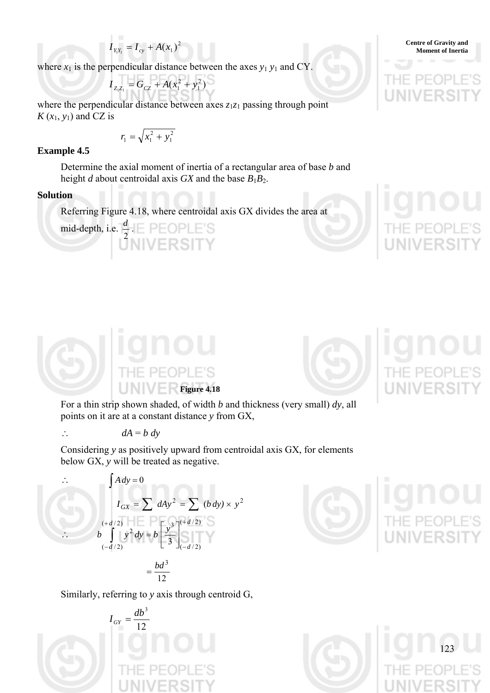$$
I_{Y_1Y_1} = I_{cy} + A(x_1)^2
$$
Centre of Gravity and  
Moment of Inertia

where  $x_1$  is the perpendicular distance between the axes  $y_1 y_1$  and CY.

$$
I_{Z_1Z_1} = G_{CZ} + A(x_1^2 + y_1^2)
$$

where the perpendicular distance between axes  $z_1z_1$  passing through point  $K(x_1, y_1)$  and CZ is

$$
r_1 = \sqrt{x_1^2 + y_1^2}
$$

#### **Example 4.5**

Determine the axial moment of inertia of a rectangular area of base *b* and height *d* about centroidal axis *GX* and the base  $B_1B_2$ .

#### **Solution**

mid-depth, i.e.  $\frac{d}{2}$ .

Referring Figure 4.18, where centroidal axis GX divides the area at





For a thin strip shown shaded, of width *b* and thickness (very small) *dy*, all points on it are at a constant distance *y* from GX,

$$
\therefore \quad dA = b \, dy
$$

Considering *y* as positively upward from centroidal axis GX, for elements below GX, *y* will be treated as negative.

$$
\int A dy = 0
$$
  
\n
$$
I_{GX} = \sum dAy^2 = \sum (b dy) \times y^2
$$
  
\n
$$
\therefore \qquad b \int_{(-d/2)}^{(+d/2)} y^2 dy = b \left[ \frac{y^3}{3} \right]_{(-d/2)}^{(+d/2)}
$$
  
\n
$$
= \frac{bd^3}{12}
$$

Similarly, referring to *y* axis through centroid G,







**Centre of Gravity and**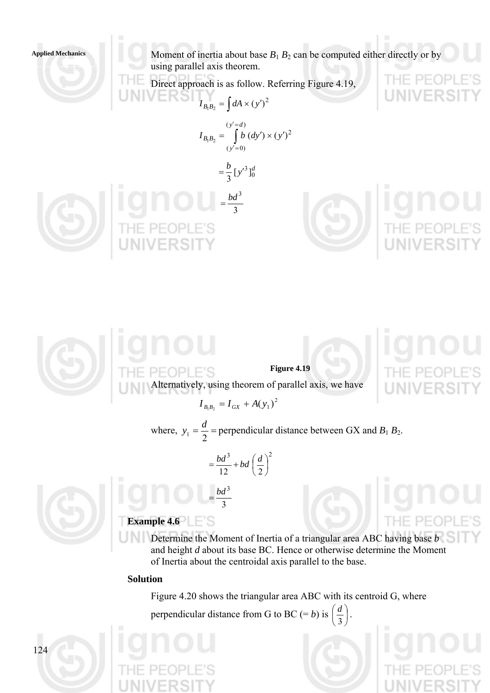Moment of inertia about base  $B_1 B_2$  can be computed either directly or by using parallel axis theorem.

Direct approach is as follow. Referring Figure 4.19,

$$
I_{B_1B_2} = \int dA \times (y')^2
$$
  

$$
I_{B_1B_2} = \int_{(y'=0)}^{(y'=d)} b (dy') \times (y')^2
$$

 $=\frac{b}{2}[y'^{3}]_{0}^{d}$ 







 $PF($ 



where,  $y_1 = \frac{d}{2}$  = perpendicular distance between GX and *B*<sub>1</sub> *B*<sub>2</sub>.

$$
=\frac{bd^3}{12}+bd\left(\frac{d}{2}\right)^2
$$

 $=\frac{bd^3}{4}$ 



# **Example 4.6**

 $=\frac{va}{3}$ 

Determine the Moment of Inertia of a triangular area ABC having base *b* and height *d* about its base BC. Hence or otherwise determine the Moment of Inertia about the centroidal axis parallel to the base.

#### **Solution**

Figure 4.20 shows the triangular area ABC with its centroid G, where perpendicular distance from G to BC (= b) is  $\left| \frac{a}{a} \right|$ ⎠  $\left(\frac{d}{2}\right)$ ⎝  $\big($ 3  $\left(\frac{d}{2}\right)$ .



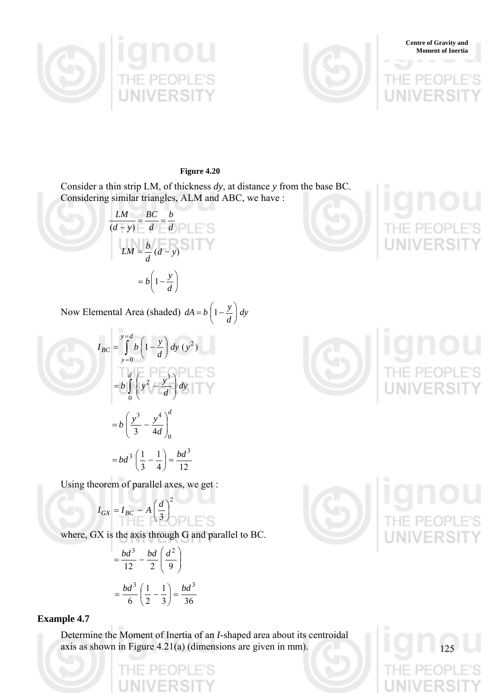



**Centre of Gravity and Moment of Inertia**

**Figure 4.20** 

Consider a thin strip LM, of thickness *dy*, at distance *y* from the base BC. Considering similar triangles, ALM and ABC, we have :

*d b d BC*  $rac{LM}{(d-y)} = \frac{BC}{d} =$  $LM = \frac{b}{d} (d - y)$  $= b \left| 1 - \frac{y}{l} \right|$ ⎠  $\left(1-\frac{y}{y}\right)$  $= b \left( 1 - \frac{y}{d} \right)$ 



Now Elemental Area (shaded)  $dA = b\left(1 - \frac{y}{d}\right)dy$ ⎠  $\left(1-\frac{y}{y}\right)$ ⎝  $= b \nvert 1 -$ 

$$
I_{BC} = \int_{y=0}^{y=d} b \left( 1 - \frac{y}{d} \right) dy (y^2)
$$
  

$$
= b \int_{0}^{d} \left( y^2 - \frac{y^3}{d} \right) dy
$$
  

$$
= b \left( \frac{y^3}{3} - \frac{y^4}{4d} \right)_{0}^{d}
$$
  

$$
= bd^3 \left( \frac{1}{3} - \frac{1}{4} \right) = \frac{bd^3}{12}
$$

Using theorem of parallel axes, we get :

$$
I_{GX} = I_{BC} - A \left(\frac{d}{3}\right)^2
$$

where, GX is the axis through G and parallel to BC.

$$
= \frac{bd^3}{12} - \frac{bd}{2} \left(\frac{d^2}{9}\right)
$$

$$
= \frac{bd^3}{6} \left(\frac{1}{2} - \frac{1}{3}\right) = \frac{bd^3}{36}
$$

#### **Example 4.7**

Determine the Moment of Inertia of an *I*-shaped area about its centroidal axis as shown in Figure 4.21(a) (dimensions are given in mm).



1 Y L

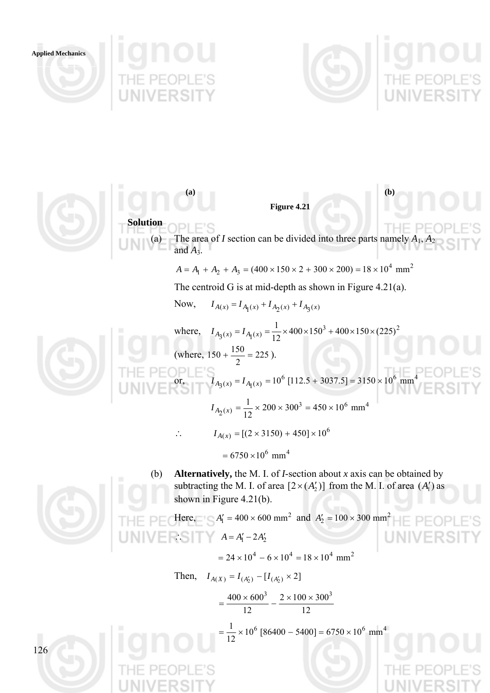



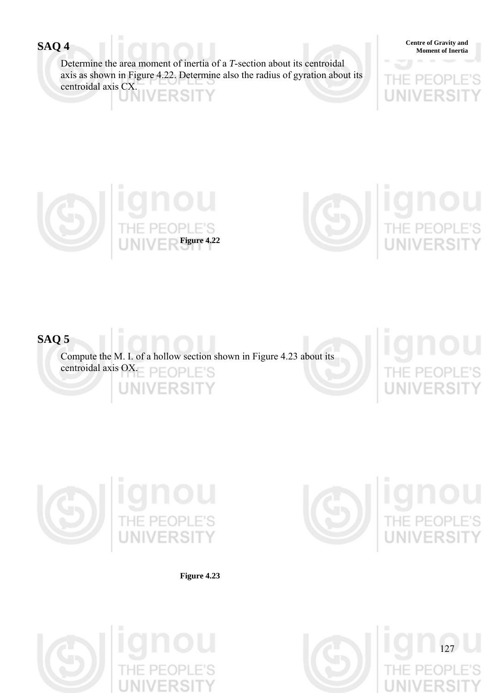Determine the area moment of inertia of a *T*-section about its centroidal axis as shown in Figure 4.22. Determine also the radius of gyration about its centroidal axis CX. 2 S I

**Centre of Gravity and Moment of Inertia** 





# **SAQ 5**

Compute the M. I. of a hollow section shown in Figure 4.23 about its centroidal axis OX. S

127



**Figure 4.23** 





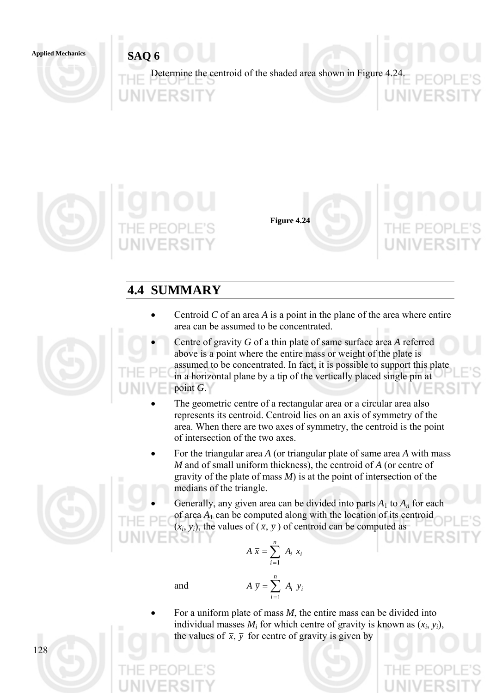Applied Mechanics **SAQ 6** 

Determine the centroid of the shaded area shown in Figure 4.24.





**Figure 4.24** 



# **4.4 SUMMARY**

- Centroid *C* of an area *A* is a point in the plane of the area where entire area can be assumed to be concentrated.
- Centre of gravity *G* of a thin plate of same surface area *A* referred above is a point where the entire mass or weight of the plate is assumed to be concentrated. In fact, it is possible to support this plate in a horizontal plane by a tip of the vertically placed single pin at point *G*.
- The geometric centre of a rectangular area or a circular area also represents its centroid. Centroid lies on an axis of symmetry of the area. When there are two axes of symmetry, the centroid is the point of intersection of the two axes.
- For the triangular area *A* (or triangular plate of same area *A* with mass *M* and of small uniform thickness), the centroid of *A* (or centre of gravity of the plate of mass *M*) is at the point of intersection of the medians of the triangle.
- Generally, any given area can be divided into parts  $A_1$  to  $A_n$  for each of area *A*1 can be computed along with the location of its centroid  $(x_i, y_i)$ , the values of  $(\bar{x}, \bar{y})$  of centroid can be computed as

$$
A \overline{x} = \sum_{i=1}^{n} A_i x_i
$$

and 
$$
A \overline{y} = \sum_{i=1}^{n} A_i y_i
$$

• For a uniform plate of mass *M*, the entire mass can be divided into individual masses  $M_i$  for which centre of gravity is known as  $(x_i, y_i)$ , the values of  $\bar{x}$ ,  $\bar{y}$  for centre of gravity is given by

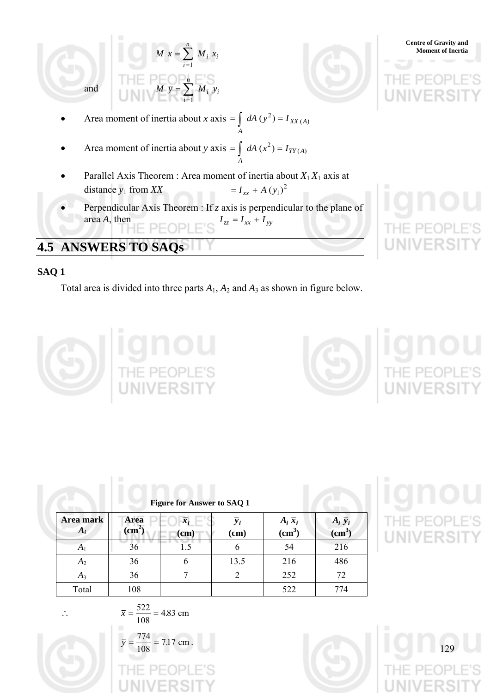

# **4.5 ANSWERS TO SAQs**

## **SAQ 1**

Total area is divided into three parts *A*1, *A*2 and *A*3 as shown in figure below.





| Area mark<br>$A_i$ | Area<br>(cm <sup>2</sup> ) | $\overline{x_i}$<br><b>Property</b><br>(cm) | $y_i$<br>(cm) | $A_i \overline{x}_i$<br>(cm <sup>3</sup> ) | $A_i \bar{y}_i$<br>(cm <sup>3</sup> ) |
|--------------------|----------------------------|---------------------------------------------|---------------|--------------------------------------------|---------------------------------------|
| A <sub>1</sub>     | 36                         |                                             | 6             | 54                                         | 216                                   |
| $A_2$              | 36                         | 6                                           | 13.5          | 216                                        | 486                                   |
| $A_3$              | 36                         |                                             | 2             | 252                                        | 72                                    |
| Total              | 108                        |                                             |               | 522                                        | 774                                   |

# **IONOU**<br>THE PEOPLE'S<br>UNIVERSITY



 $\overline{x} = \frac{322}{100} = 4.83$  cm 108  $\bar{x} = \frac{522}{122}$  $\bar{y} = \frac{774}{100} = 7.17$  cm 108  $\overline{y} = \frac{774}{100} = 7.17$  cm.



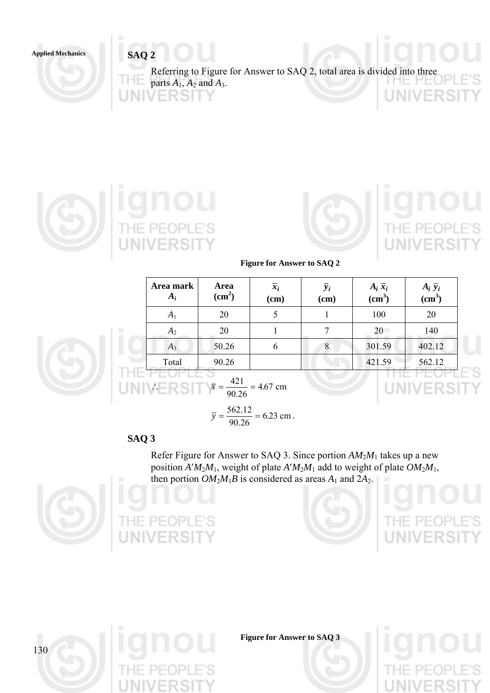Applied Mechanics **SAQ 2** 

Referring to Figure for Answer to SAQ 2, total area is divided into three parts  $A_1$ ,  $A_2$  and  $A_3$ . INIV **FRSIT** FR!





**Figure for Answer to SAQ 2** 

| Area mark<br>$A_i$ | Area<br>(cm <sup>2</sup> ) | $\overline{x}_i$<br>(cm) | $y_i$<br>(cm) | $A_i \overline{x}_i$<br>(cm <sup>3</sup> ) | $A_i \bar{y}_i$<br>(cm <sup>3</sup> ) |
|--------------------|----------------------------|--------------------------|---------------|--------------------------------------------|---------------------------------------|
| $A_1$              | 20                         |                          |               | 100                                        | 20                                    |
| $A_2$              | 20                         |                          |               | 20                                         | 140                                   |
| $A_3$              | 50.26                      | $\mathfrak b$            | 8             | 301.59                                     | 402.12                                |
| Total              | 90.26                      |                          |               | 421.59                                     | 562.12                                |

$$
\overline{y} = \frac{562.12}{90.26} = 6.23
$$
 cm.

## **SAQ 3**

Т

П

Refer Figure for Answer to SAQ 3. Since portion *AM*2*M*1 takes up a new position  $A'M_2M_1$ , weight of plate  $A'M_2M_1$  add to weight of plate  $OM_2M_1$ , then portion  $OM_2M_1B$  is considered as areas  $A_1$  and  $2A_2$ .



130







**Figure for Answer to SAQ 3**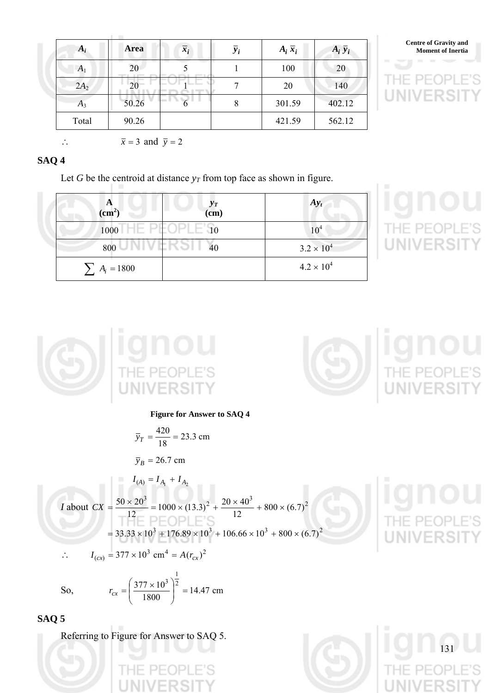| $A_i$  | <b>Area</b> | $\overline{x_i}$ | $\overline{y}_i$ | $A_i \overline{x}_i$ | $A_i \bar{y}_i$ | <b>Centre of Gravity and</b><br><b>Moment of Inertia</b> |
|--------|-------------|------------------|------------------|----------------------|-----------------|----------------------------------------------------------|
| $A_1$  | 20          |                  |                  | 100                  | 20              |                                                          |
| $2A_2$ | 20          |                  |                  | 20                   | 140             | $P = QP$<br>$\mathbb{H}$                                 |
| $A_3$  | 50.26       | --               |                  | 301.59               | 402.12          | $-1$                                                     |
| Total  | 90.26       |                  |                  | 421.59               | 562.12          |                                                          |



**SAQ 4** 

Let *G* be the centroid at distance  $y_T$  from top face as shown in figure.

| $\frac{A}{(cm^2)}$    | $y_T$ (cm) | $Ay_t$              |
|-----------------------|------------|---------------------|
| $1000$ HE PEOPLE $90$ |            |                     |
| 800 UNIVERSI          | 40         | $3.2 \times 10^{4}$ |
| $\sum A_i = 1800$     |            | $4.2 \times 10^{4}$ |





 $\overline{x} = 3$  and  $\overline{y} = 2$ 

**Figure for Answer to SAQ 4** 

$$
\overline{y}_T = \frac{420}{18} = 23.3 \text{ cm}
$$

$$
\overline{y}_B = 26.7 \text{ cm}
$$

$$
I_{(A)} = I_{A_1} + I_{A_2}
$$
  
\n
$$
I \text{ about } CX = \frac{50 \times 20^3}{12} = 1000 \times (13.3)^2 + \frac{20 \times 40^3}{12} + 800 \times (6.7)^2
$$
  
\n
$$
= 33.33 \times 10^3 + 176.89 \times 10^3 + 106.66 \times 10^3 + 800 \times (6.7)^2
$$

$$
\therefore I_{(cx)} = 377 \times 10^3 \text{ cm}^4 = A(r_{cx})^2
$$

So,  $r_{cr} = \frac{377 \times 10^{17}}{1000} = 14.47$  cm 1800  $377 \times 10^3$  2 1 3  $\Big|^{2}$  = ⎠ ⎞  $\parallel$ ⎝  $\int$  377  $\times$  $r_{cx}$  =

Referring to Figure for Answer to SAQ 5.

**SAQ 5** 

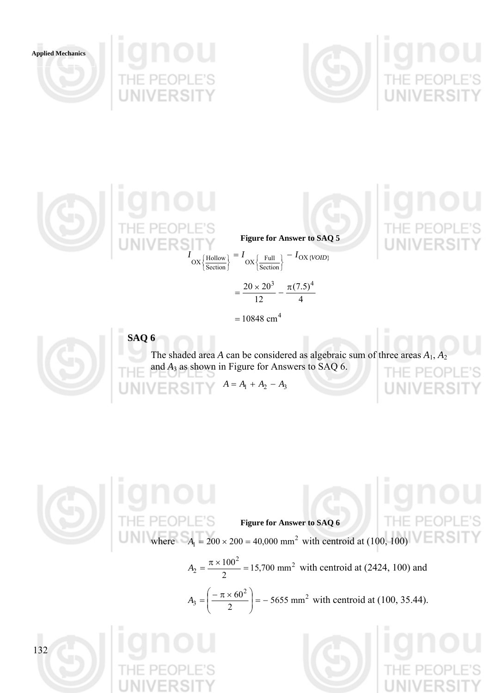

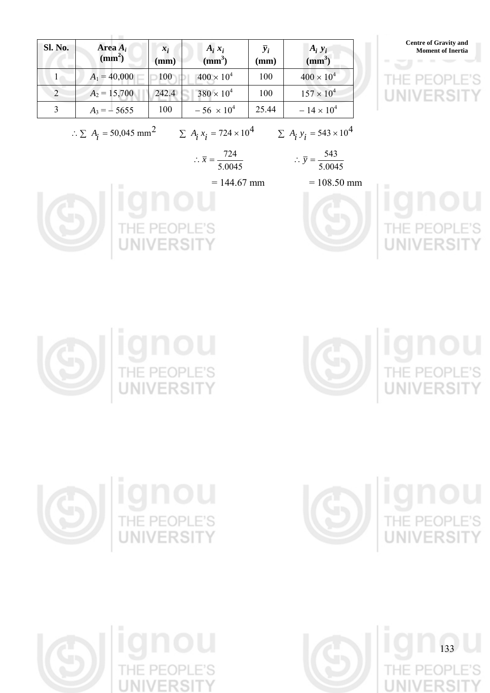

 $PIF($ 





 $\therefore \ \bar{x} = \frac{724}{5.0045}$  ∴  $\bar{y} = \frac{543}{5.0045}$  $\therefore \overline{y} = \frac{543}{5.88}$ 

 $= 144.67$  mm  $= 108.50$  mm













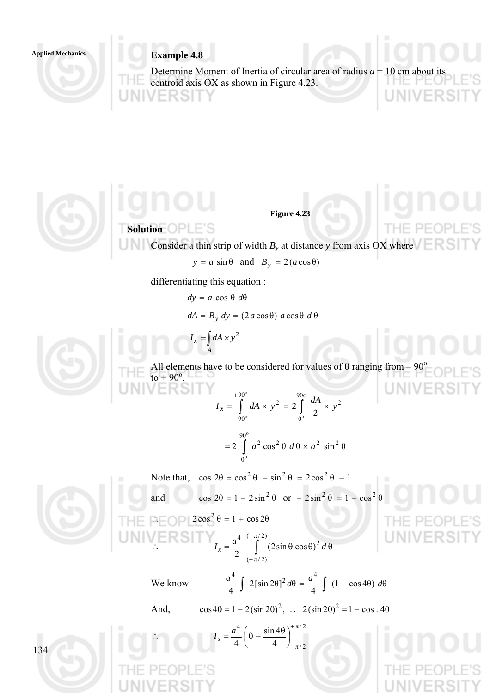## **Example 4.8 Applied Mechanics**

Determine Moment of Inertia of circular area of radius  $a = 10$  cm about centroid axis OX as shown in Figure 4.23.